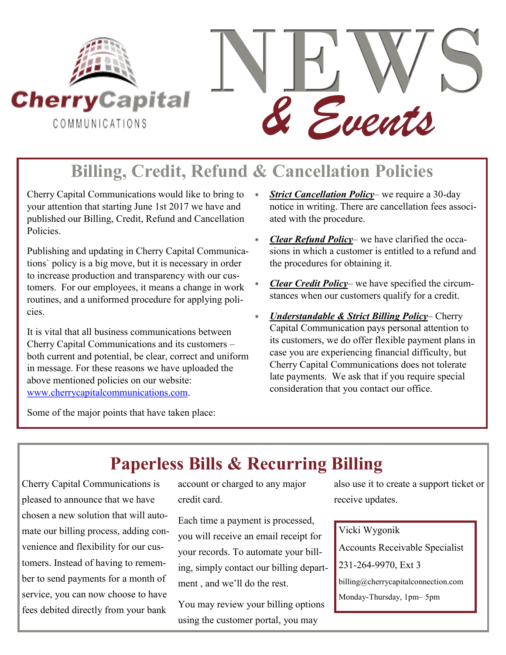

# **Billing, Credit, Refund & Cancellation Policies**

Cherry Capital Communications would like to bring to your attention that starting June 1st 2017 we have and published our Billing, Credit, Refund and Cancellation Policies.

Publishing and updating in Cherry Capital Communications` policy is a big move, but it is necessary in order to increase production and transparency with our customers. For our employees, it means a change in work routines, and a uniformed procedure for applying policies.

It is vital that all business communications between Cherry Capital Communications and its customers – both current and potential, be clear, correct and uniform in message. For these reasons we have uploaded the above mentioned policies on our website: [www.cherrycapitalcommunications.com.](http://www.cherrycapitalcommunications.com)

- *<u>Strict Cancellation Policy</u>* we require a 30-day notice in writing. There are cancellation fees associated with the procedure.
- *Clear Refund Policy* we have clarified the occasions in which a customer is entitled to a refund and the procedures for obtaining it.
- *Clear Credit Policy* we have specified the circumstances when our customers qualify for a credit.
- *Understandable & Strict Billing Policy* Cherry Capital Communication pays personal attention to its customers, we do offer flexible payment plans in case you are experiencing financial difficulty, but Cherry Capital Communications does not tolerate late payments. We ask that if you require special consideration that you contact our office.

Some of the major points that have taken place:

## **Paperless Bills & Recurring Billing**

Cherry Capital Communications is pleased to announce that we have chosen a new solution that will automate our billing process, adding convenience and flexibility for our customers. Instead of having to remember to send payments for a month of service, you can now choose to have fees debited directly from your bank

account or charged to any major credit card.

Each time a payment is processed, you will receive an email receipt for your records. To automate your billing, simply contact our billing department , and we'll do the rest.

You may review your billing options using the customer portal, you may

also use it to create a support ticket or receive updates.

Vicki Wygonik

Accounts Receivable Specialist

231-264-9970, Ext 3

billing@cherrycapitalconnection.com

Monday-Thursday, 1pm– 5pm